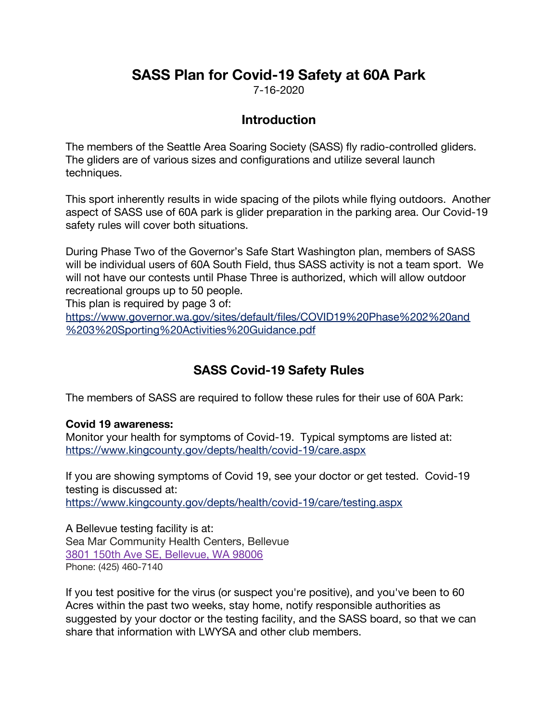# **SASS Plan for Covid-19 Safety at 60A Park**

7-16-2020

## **Introduction**

The members of the Seattle Area Soaring Society (SASS) fly radio-controlled gliders. The gliders are of various sizes and configurations and utilize several launch techniques.

This sport inherently results in wide spacing of the pilots while flying outdoors. Another aspect of SASS use of 60A park is glider preparation in the parking area. Our Covid-19 safety rules will cover both situations.

During Phase Two of the Governor's Safe Start Washington plan, members of SASS will be individual users of 60A South Field, thus SASS activity is not a team sport. We will not have our contests until Phase Three is authorized, which will allow outdoor recreational groups up to 50 people.

This plan is required by page 3 of:

https://www.governor.wa.gov/sites/default/files/COVID19%20Phase%202%20and %203%20Sporting%20Activities%20Guidance.pdf

## **SASS Covid-19 Safety Rules**

The members of SASS are required to follow these rules for their use of 60A Park:

#### **Covid 19 awareness:**

Monitor your health for symptoms of Covid-19. Typical symptoms are listed at: https://www.kingcounty.gov/depts/health/covid-19/care.aspx

If you are showing symptoms of Covid 19, see your doctor or get tested. Covid-19 testing is discussed at: https://www.kingcounty.gov/depts/health/covid-19/care/testing.aspx

A Bellevue testing facility is at: Sea Mar Community Health Centers, Bellevue 3801 150th Ave SE, Bellevue, WA 98006 Phone: (425) 460-7140

If you test positive for the virus (or suspect you're positive), and you've been to 60 Acres within the past two weeks, stay home, notify responsible authorities as suggested by your doctor or the testing facility, and the SASS board, so that we can share that information with LWYSA and other club members.